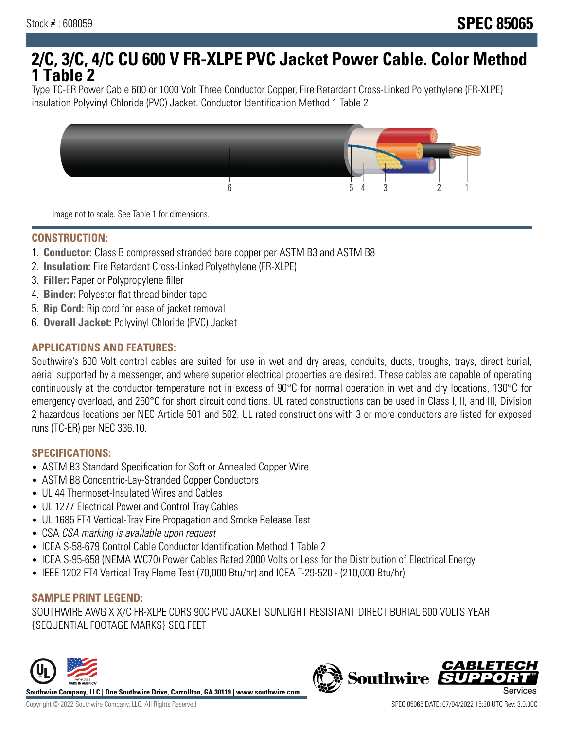# **2/C, 3/C, 4/C CU 600 V FR-XLPE PVC Jacket Power Cable. Color Method 1 Table 2**

Type TC-ER Power Cable 600 or 1000 Volt Three Conductor Copper, Fire Retardant Cross-Linked Polyethylene (FR-XLPE) insulation Polyvinyl Chloride (PVC) Jacket. Conductor Identification Method 1 Table 2



Image not to scale. See Table 1 for dimensions.

#### **CONSTRUCTION:**

- 1. **Conductor:** Class B compressed stranded bare copper per ASTM B3 and ASTM B8
- 2. **Insulation:** Fire Retardant Cross-Linked Polyethylene (FR-XLPE)
- 3. **Filler:** Paper or Polypropylene filler
- 4. **Binder:** Polyester flat thread binder tape
- 5. **Rip Cord:** Rip cord for ease of jacket removal
- 6. **Overall Jacket:** Polyvinyl Chloride (PVC) Jacket

#### **APPLICATIONS AND FEATURES:**

Southwire's 600 Volt control cables are suited for use in wet and dry areas, conduits, ducts, troughs, trays, direct burial, aerial supported by a messenger, and where superior electrical properties are desired. These cables are capable of operating continuously at the conductor temperature not in excess of 90°C for normal operation in wet and dry locations, 130°C for emergency overload, and 250°C for short circuit conditions. UL rated constructions can be used in Class I, II, and III, Division 2 hazardous locations per NEC Article 501 and 502. UL rated constructions with 3 or more conductors are listed for exposed runs (TC-ER) per NEC 336.10.

#### **SPECIFICATIONS:**

- ASTM B3 Standard Specification for Soft or Annealed Copper Wire
- ASTM B8 Concentric-Lay-Stranded Copper Conductors
- UL 44 Thermoset-Insulated Wires and Cables
- UL 1277 Electrical Power and Control Tray Cables
- UL 1685 FT4 Vertical-Tray Fire Propagation and Smoke Release Test
- CSA CSA marking is available upon request
- ICEA S-58-679 Control Cable Conductor Identification Method 1 Table 2
- ICEA S-95-658 (NEMA WC70) Power Cables Rated 2000 Volts or Less for the Distribution of Electrical Energy
- IEEE 1202 FT4 Vertical Tray Flame Test (70,000 Btu/hr) and ICEA T-29-520 (210,000 Btu/hr)

### **SAMPLE PRINT LEGEND:**

SOUTHWIRE AWG X X/C FR-XLPE CDRS 90C PVC JACKET SUNLIGHT RESISTANT DIRECT BURIAL 600 VOLTS YEAR {SEQUENTIAL FOOTAGE MARKS} SEQ FEET



**Southwire** 

**CABLETE**